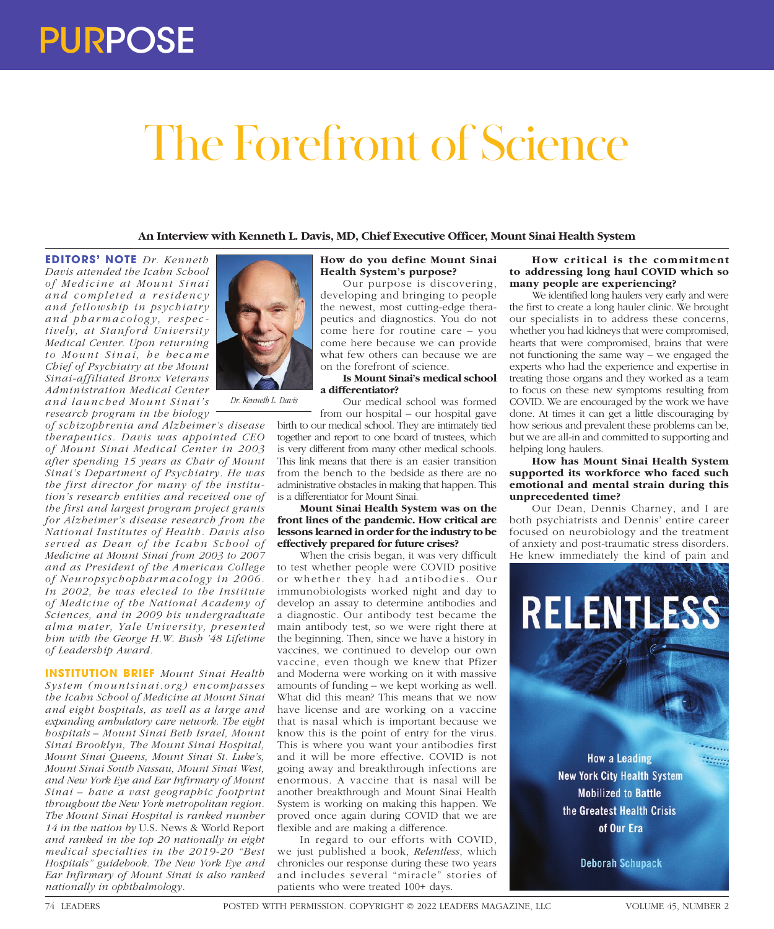# The Forefront of Science

# **An Interview with Kenneth L. Davis, MD, Chief Executive Officer, Mount Sinai Health System**

**EDITORS' NOTE** *Dr. Kenneth Davis attended the Icahn School of Medicine at Mount Sinai a n d c o m p l e t e d a r e s i d e n c y and fellowship in psychiatry and pharmacology, respectively, at Stanford University Medical Center. Upon returning*   $to$  Mount Sinai, he became *Chief of Psychiatry at the Mount Sinai-affiliated Bronx Veterans Administration Medical Center and launched Mount Sinai's research program in the biology* 

*of schizophrenia and Alzheimer's disease therapeutics. Davis was appointed CEO of Mount Sinai Medical Center in 2003 after spending 15 years as Chair of Mount Sinai's Department of Psychiatry. He was the first director for many of the institution's research entities and received one of the first and largest program project grants for Alzheimer's disease research from the National Institutes of Health. Davis also served as Dean of the Icahn School of Medicine at Mount Sinai from 2003 to 2007 and as President of the American College of Neur opsychophar macology in 2006. In 2002, he was elected to the Institute of Medicine of the National Academy of Sciences, and in 2009 his undergraduate*   $a$ *lma mater, Yale University, presented him with the George H.W. Bush '48 Lifetime of Leadership Award.*

**INSTITUTION BRIEF** *Mount Sinai Health System (mountsinai.or g) encompasses the Icahn School of Medicine at Mount Sinai and eight hospitals, as well as a large and expanding ambulatory care network. The eight hospitals – Mount Sinai Beth Israel, Mount Sinai Brooklyn, The Mount Sinai Hospital, Mount Sinai Queens, Mount Sinai St. Luke's, Mount Sinai South Nassau, Mount Sinai West, and New York Eye and Ear Infirmary of Mount Sinai – have a vast geographic footprint throughout the New York metropolitan region. The Mount Sinai Hospital is ranked number 14 in the nation by* U.S. News & World Report *and ranked in the top 20 nationally in eight medical specialties in the 2019-20 "Best Hospitals" guidebook. The New York Eye and Ear Infirmary of Mount Sinai is also ranked nationally in ophthalmology.*



*Dr. Kenneth L. Davis*

# **How do you define Mount Sinai Health System's purpose?**

Our purpose is discovering, developing and bringing to people the newest, most cutting-edge therapeutics and diagnostics. You do not come here for routine care – you come here because we can provide what few others can because we are on the forefront of science.

# **Is Mount Sinai's medical school a differentiator?**

Our medical school was formed from our hospital – our hospital gave

birth to our medical school. They are intimately tied together and report to one board of trustees, which is very different from many other medical schools. This link means that there is an easier transition from the bench to the bedside as there are no administrative obstacles in making that happen. This is a differentiator for Mount Sinai.

**Mount Sinai Health System was on the front lines of the pandemic. How critical are lessons learned in order for the industry to be effectively prepared for future crises?**

When the crisis began, it was very difficult to test whether people were COVID positive or whether they had antibodies. Our immunobiologists worked night and day to develop an assay to determine antibodies and a diagnostic. Our antibody test became the main antibody test, so we were right there at the beginning. Then, since we have a history in vaccines, we continued to develop our own vaccine, even though we knew that Pfizer and Moderna were working on it with massive amounts of funding – we kept working as well. What did this mean? This means that we now have license and are working on a vaccine that is nasal which is important because we know this is the point of entry for the virus. This is where you want your antibodies first and it will be more effective. COVID is not going away and breakthrough infections are enormous. A vaccine that is nasal will be another breakthrough and Mount Sinai Health System is working on making this happen. We proved once again during COVID that we are flexible and are making a difference.

In regard to our efforts with COVID, we just published a book, *Relentless*, which chronicles our response during these two years and includes several "miracle" stories of patients who were treated 100+ days.

#### **How critical is the commitment to addressing long haul COVID which so many people are experiencing?**

We identified long haulers very early and were the first to create a long hauler clinic. We brought our specialists in to address these concerns, whether you had kidneys that were compromised, hearts that were compromised, brains that were not functioning the same way – we engaged the experts who had the experience and expertise in treating those organs and they worked as a team to focus on these new symptoms resulting from COVID. We are encouraged by the work we have done. At times it can get a little discouraging by how serious and prevalent these problems can be, but we are all-in and committed to supporting and helping long haulers.

## **How has Mount Sinai Health System supported its workforce who faced such emotional and mental strain during this unprecedented time?**

Our Dean, Dennis Charney, and I are both psychiatrists and Dennis' entire career focused on neurobiology and the treatment of anxiety and post-traumatic stress disorders. He knew immediately the kind of pain and